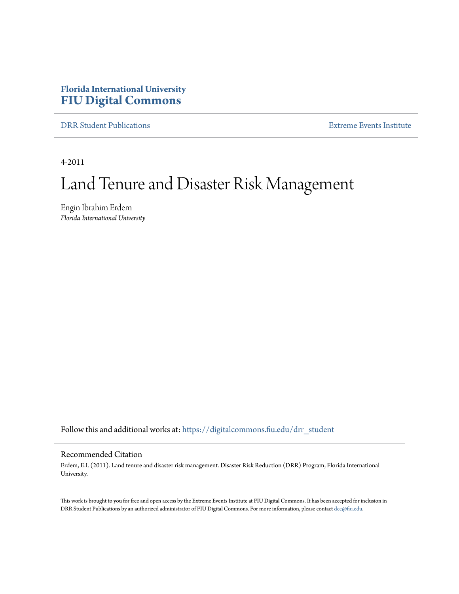# **Florida International University [FIU Digital Commons](https://digitalcommons.fiu.edu?utm_source=digitalcommons.fiu.edu%2Fdrr_student%2F4&utm_medium=PDF&utm_campaign=PDFCoverPages)**

[DRR Student Publications](https://digitalcommons.fiu.edu/drr_student?utm_source=digitalcommons.fiu.edu%2Fdrr_student%2F4&utm_medium=PDF&utm_campaign=PDFCoverPages) [Extreme Events Institute](https://digitalcommons.fiu.edu/drr?utm_source=digitalcommons.fiu.edu%2Fdrr_student%2F4&utm_medium=PDF&utm_campaign=PDFCoverPages)

4-2011

# Land Tenure and Disaster Risk Management

Engin Ibrahim Erdem *Florida International University*

Follow this and additional works at: [https://digitalcommons.fiu.edu/drr\\_student](https://digitalcommons.fiu.edu/drr_student?utm_source=digitalcommons.fiu.edu%2Fdrr_student%2F4&utm_medium=PDF&utm_campaign=PDFCoverPages)

## Recommended Citation

Erdem, E.I. (2011). Land tenure and disaster risk management. Disaster Risk Reduction (DRR) Program, Florida International University.

This work is brought to you for free and open access by the Extreme Events Institute at FIU Digital Commons. It has been accepted for inclusion in DRR Student Publications by an authorized administrator of FIU Digital Commons. For more information, please contact [dcc@fiu.edu](mailto:dcc@fiu.edu).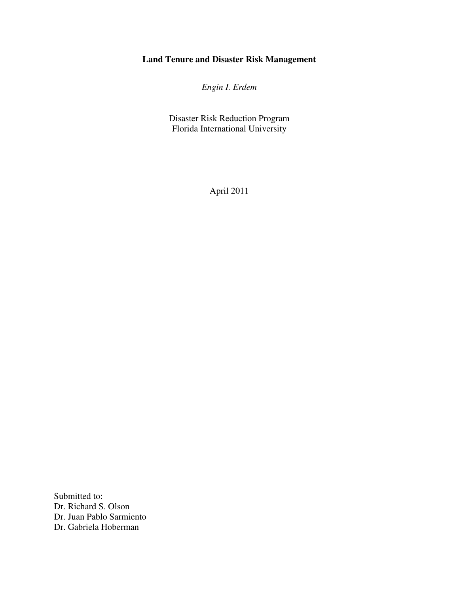# **Land Tenure and Disaster Risk Management**

*Engin I. Erdem* 

Disaster Risk Reduction Program Florida International University

April 2011

Submitted to: Dr. Richard S. Olson Dr. Juan Pablo Sarmiento Dr. Gabriela Hoberman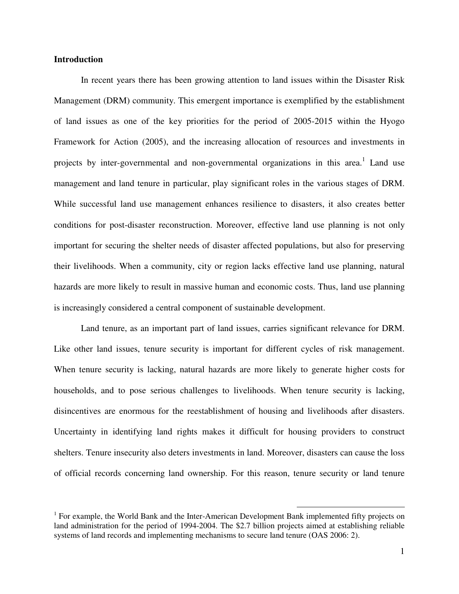# **Introduction**

 In recent years there has been growing attention to land issues within the Disaster Risk Management (DRM) community. This emergent importance is exemplified by the establishment of land issues as one of the key priorities for the period of 2005-2015 within the Hyogo Framework for Action (2005), and the increasing allocation of resources and investments in projects by inter-governmental and non-governmental organizations in this area.<sup>1</sup> Land use management and land tenure in particular, play significant roles in the various stages of DRM. While successful land use management enhances resilience to disasters, it also creates better conditions for post-disaster reconstruction. Moreover, effective land use planning is not only important for securing the shelter needs of disaster affected populations, but also for preserving their livelihoods. When a community, city or region lacks effective land use planning, natural hazards are more likely to result in massive human and economic costs. Thus, land use planning is increasingly considered a central component of sustainable development.

 Land tenure, as an important part of land issues, carries significant relevance for DRM. Like other land issues, tenure security is important for different cycles of risk management. When tenure security is lacking, natural hazards are more likely to generate higher costs for households, and to pose serious challenges to livelihoods. When tenure security is lacking, disincentives are enormous for the reestablishment of housing and livelihoods after disasters. Uncertainty in identifying land rights makes it difficult for housing providers to construct shelters. Tenure insecurity also deters investments in land. Moreover, disasters can cause the loss of official records concerning land ownership. For this reason, tenure security or land tenure

 $\overline{a}$ 

<sup>&</sup>lt;sup>1</sup> For example, the World Bank and the Inter-American Development Bank implemented fifty projects on land administration for the period of 1994-2004. The \$2.7 billion projects aimed at establishing reliable systems of land records and implementing mechanisms to secure land tenure (OAS 2006: 2).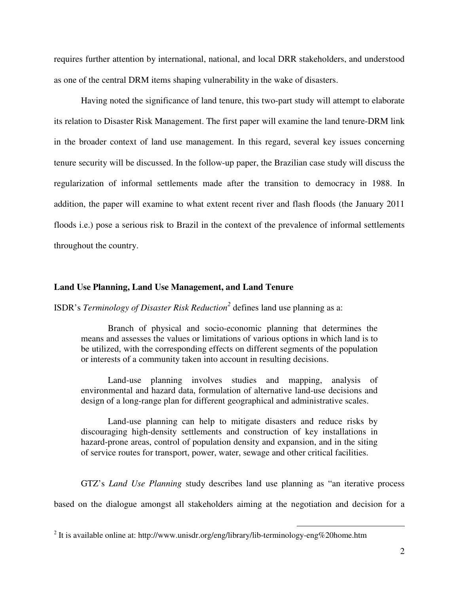requires further attention by international, national, and local DRR stakeholders, and understood as one of the central DRM items shaping vulnerability in the wake of disasters.

 Having noted the significance of land tenure, this two-part study will attempt to elaborate its relation to Disaster Risk Management. The first paper will examine the land tenure-DRM link in the broader context of land use management. In this regard, several key issues concerning tenure security will be discussed. In the follow-up paper, the Brazilian case study will discuss the regularization of informal settlements made after the transition to democracy in 1988. In addition, the paper will examine to what extent recent river and flash floods (the January 2011 floods i.e.) pose a serious risk to Brazil in the context of the prevalence of informal settlements throughout the country.

#### **Land Use Planning, Land Use Management, and Land Tenure**

ISDR's *Terminology of Disaster Risk Reduction<sup>2</sup>* defines land use planning as a:

 Branch of physical and socio-economic planning that determines the means and assesses the values or limitations of various options in which land is to be utilized, with the corresponding effects on different segments of the population or interests of a community taken into account in resulting decisions.

 Land-use planning involves studies and mapping, analysis of environmental and hazard data, formulation of alternative land-use decisions and design of a long-range plan for different geographical and administrative scales.

 Land-use planning can help to mitigate disasters and reduce risks by discouraging high-density settlements and construction of key installations in hazard-prone areas, control of population density and expansion, and in the siting of service routes for transport, power, water, sewage and other critical facilities.

GTZ's *Land Use Planning* study describes land use planning as "an iterative process

<u>.</u>

based on the dialogue amongst all stakeholders aiming at the negotiation and decision for a

<sup>&</sup>lt;sup>2</sup> It is available online at: http://www.unisdr.org/eng/library/lib-terminology-eng%20home.htm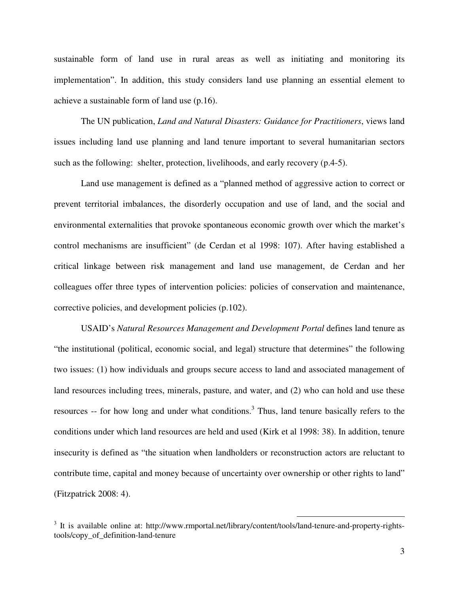sustainable form of land use in rural areas as well as initiating and monitoring its implementation". In addition, this study considers land use planning an essential element to achieve a sustainable form of land use (p.16).

 The UN publication, *Land and Natural Disasters: Guidance for Practitioners*, views land issues including land use planning and land tenure important to several humanitarian sectors such as the following: shelter, protection, livelihoods, and early recovery (p.4-5).

 Land use management is defined as a "planned method of aggressive action to correct or prevent territorial imbalances, the disorderly occupation and use of land, and the social and environmental externalities that provoke spontaneous economic growth over which the market's control mechanisms are insufficient" (de Cerdan et al 1998: 107). After having established a critical linkage between risk management and land use management, de Cerdan and her colleagues offer three types of intervention policies: policies of conservation and maintenance, corrective policies, and development policies (p.102).

 USAID's *Natural Resources Management and Development Portal* defines land tenure as "the institutional (political, economic social, and legal) structure that determines" the following two issues: (1) how individuals and groups secure access to land and associated management of land resources including trees, minerals, pasture, and water, and (2) who can hold and use these resources -- for how long and under what conditions.<sup>3</sup> Thus, land tenure basically refers to the conditions under which land resources are held and used (Kirk et al 1998: 38). In addition, tenure insecurity is defined as "the situation when landholders or reconstruction actors are reluctant to contribute time, capital and money because of uncertainty over ownership or other rights to land" (Fitzpatrick 2008: 4).

<sup>&</sup>lt;sup>3</sup> It is available online at: http://www.rmportal.net/library/content/tools/land-tenure-and-property-rightstools/copy\_of\_definition-land-tenure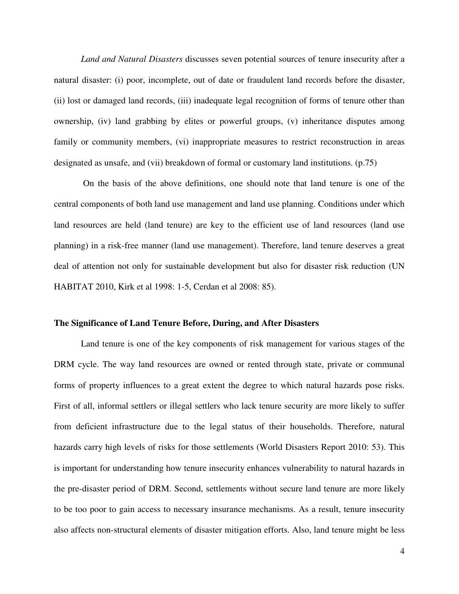*Land and Natural Disasters* discusses seven potential sources of tenure insecurity after a natural disaster: (i) poor, incomplete, out of date or fraudulent land records before the disaster, (ii) lost or damaged land records, (iii) inadequate legal recognition of forms of tenure other than ownership, (iv) land grabbing by elites or powerful groups, (v) inheritance disputes among family or community members, (vi) inappropriate measures to restrict reconstruction in areas designated as unsafe, and (vii) breakdown of formal or customary land institutions. (p.75)

 On the basis of the above definitions, one should note that land tenure is one of the central components of both land use management and land use planning. Conditions under which land resources are held (land tenure) are key to the efficient use of land resources (land use planning) in a risk-free manner (land use management). Therefore, land tenure deserves a great deal of attention not only for sustainable development but also for disaster risk reduction (UN HABITAT 2010, Kirk et al 1998: 1-5, Cerdan et al 2008: 85).

## **The Significance of Land Tenure Before, During, and After Disasters**

 Land tenure is one of the key components of risk management for various stages of the DRM cycle. The way land resources are owned or rented through state, private or communal forms of property influences to a great extent the degree to which natural hazards pose risks. First of all, informal settlers or illegal settlers who lack tenure security are more likely to suffer from deficient infrastructure due to the legal status of their households. Therefore, natural hazards carry high levels of risks for those settlements (World Disasters Report 2010: 53). This is important for understanding how tenure insecurity enhances vulnerability to natural hazards in the pre-disaster period of DRM. Second, settlements without secure land tenure are more likely to be too poor to gain access to necessary insurance mechanisms. As a result, tenure insecurity also affects non-structural elements of disaster mitigation efforts. Also, land tenure might be less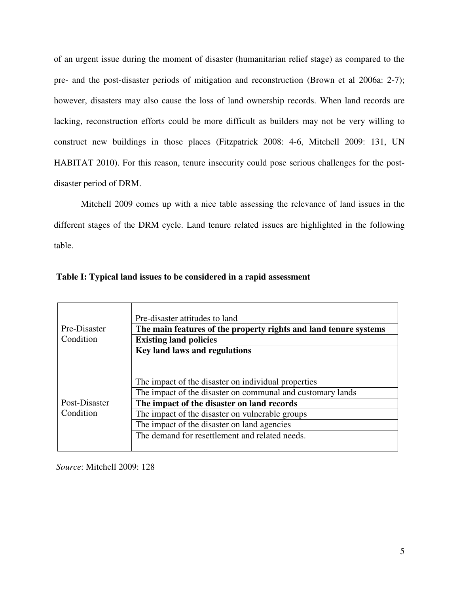of an urgent issue during the moment of disaster (humanitarian relief stage) as compared to the pre- and the post-disaster periods of mitigation and reconstruction (Brown et al 2006a: 2-7); however, disasters may also cause the loss of land ownership records. When land records are lacking, reconstruction efforts could be more difficult as builders may not be very willing to construct new buildings in those places (Fitzpatrick 2008: 4-6, Mitchell 2009: 131, UN HABITAT 2010). For this reason, tenure insecurity could pose serious challenges for the postdisaster period of DRM.

 Mitchell 2009 comes up with a nice table assessing the relevance of land issues in the different stages of the DRM cycle. Land tenure related issues are highlighted in the following table.

| Pre-Disaster<br>Condition  | Pre-disaster attitudes to land<br>The main features of the property rights and land tenure systems<br><b>Existing land policies</b><br>Key land laws and regulations |
|----------------------------|----------------------------------------------------------------------------------------------------------------------------------------------------------------------|
| Post-Disaster<br>Condition | The impact of the disaster on individual properties<br>The impact of the disaster on communal and customary lands<br>The impact of the disaster on land records      |
|                            | The impact of the disaster on vulnerable groups                                                                                                                      |
|                            | The impact of the disaster on land agencies                                                                                                                          |
|                            | The demand for resettlement and related needs.                                                                                                                       |

 *Source*: Mitchell 2009: 128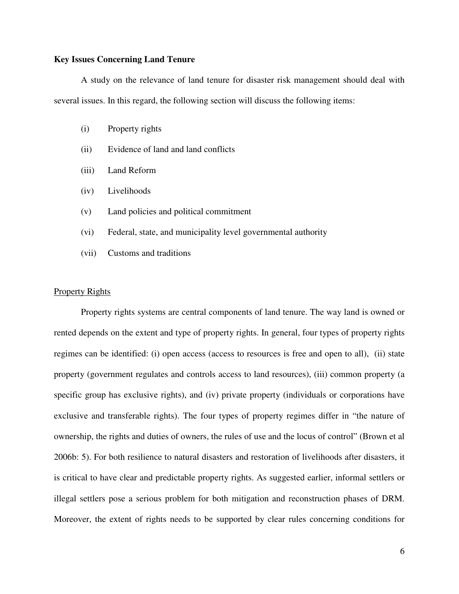# **Key Issues Concerning Land Tenure**

 A study on the relevance of land tenure for disaster risk management should deal with several issues. In this regard, the following section will discuss the following items:

- (i) Property rights
- (ii) Evidence of land and land conflicts
- (iii) Land Reform
- (iv) Livelihoods
- (v) Land policies and political commitment
- (vi) Federal, state, and municipality level governmental authority
- (vii) Customs and traditions

# Property Rights

 Property rights systems are central components of land tenure. The way land is owned or rented depends on the extent and type of property rights. In general, four types of property rights regimes can be identified: (i) open access (access to resources is free and open to all), (ii) state property (government regulates and controls access to land resources), (iii) common property (a specific group has exclusive rights), and (iv) private property (individuals or corporations have exclusive and transferable rights). The four types of property regimes differ in "the nature of ownership, the rights and duties of owners, the rules of use and the locus of control" (Brown et al 2006b: 5). For both resilience to natural disasters and restoration of livelihoods after disasters, it is critical to have clear and predictable property rights. As suggested earlier, informal settlers or illegal settlers pose a serious problem for both mitigation and reconstruction phases of DRM. Moreover, the extent of rights needs to be supported by clear rules concerning conditions for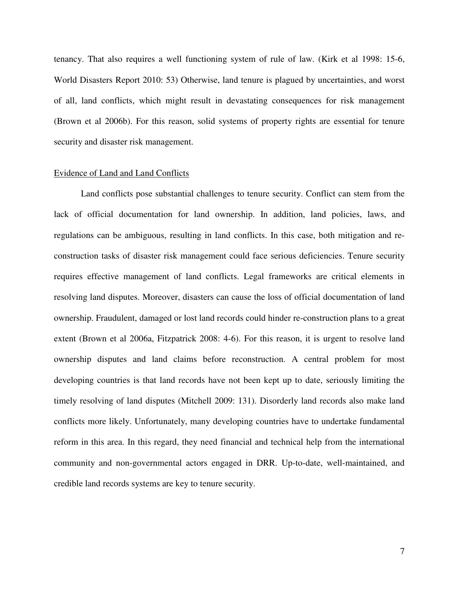tenancy. That also requires a well functioning system of rule of law. (Kirk et al 1998: 15-6, World Disasters Report 2010: 53) Otherwise, land tenure is plagued by uncertainties, and worst of all, land conflicts, which might result in devastating consequences for risk management (Brown et al 2006b). For this reason, solid systems of property rights are essential for tenure security and disaster risk management.

# Evidence of Land and Land Conflicts

 Land conflicts pose substantial challenges to tenure security. Conflict can stem from the lack of official documentation for land ownership. In addition, land policies, laws, and regulations can be ambiguous, resulting in land conflicts. In this case, both mitigation and reconstruction tasks of disaster risk management could face serious deficiencies. Tenure security requires effective management of land conflicts. Legal frameworks are critical elements in resolving land disputes. Moreover, disasters can cause the loss of official documentation of land ownership. Fraudulent, damaged or lost land records could hinder re-construction plans to a great extent (Brown et al 2006a, Fitzpatrick 2008: 4-6). For this reason, it is urgent to resolve land ownership disputes and land claims before reconstruction. A central problem for most developing countries is that land records have not been kept up to date, seriously limiting the timely resolving of land disputes (Mitchell 2009: 131). Disorderly land records also make land conflicts more likely. Unfortunately, many developing countries have to undertake fundamental reform in this area. In this regard, they need financial and technical help from the international community and non-governmental actors engaged in DRR. Up-to-date, well-maintained, and credible land records systems are key to tenure security.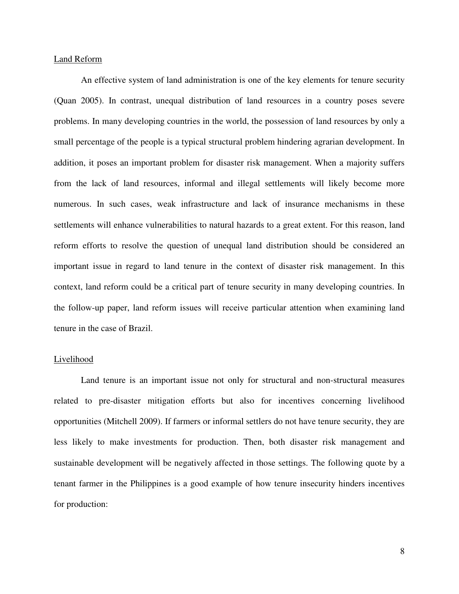#### Land Reform

 An effective system of land administration is one of the key elements for tenure security (Quan 2005). In contrast, unequal distribution of land resources in a country poses severe problems. In many developing countries in the world, the possession of land resources by only a small percentage of the people is a typical structural problem hindering agrarian development. In addition, it poses an important problem for disaster risk management. When a majority suffers from the lack of land resources, informal and illegal settlements will likely become more numerous. In such cases, weak infrastructure and lack of insurance mechanisms in these settlements will enhance vulnerabilities to natural hazards to a great extent. For this reason, land reform efforts to resolve the question of unequal land distribution should be considered an important issue in regard to land tenure in the context of disaster risk management. In this context, land reform could be a critical part of tenure security in many developing countries. In the follow-up paper, land reform issues will receive particular attention when examining land tenure in the case of Brazil.

# Livelihood

 Land tenure is an important issue not only for structural and non-structural measures related to pre-disaster mitigation efforts but also for incentives concerning livelihood opportunities (Mitchell 2009). If farmers or informal settlers do not have tenure security, they are less likely to make investments for production. Then, both disaster risk management and sustainable development will be negatively affected in those settings. The following quote by a tenant farmer in the Philippines is a good example of how tenure insecurity hinders incentives for production: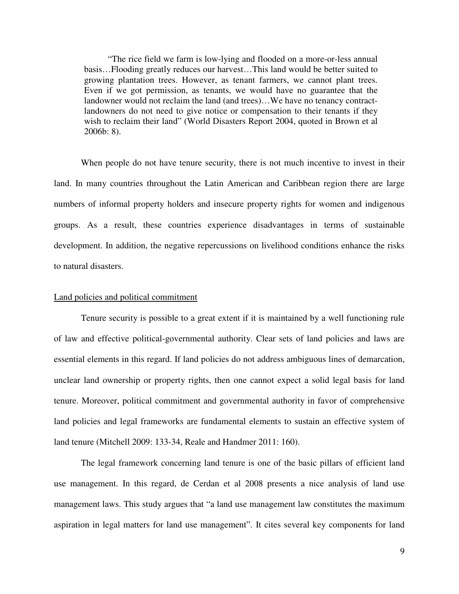"The rice field we farm is low-lying and flooded on a more-or-less annual basis…Flooding greatly reduces our harvest…This land would be better suited to growing plantation trees. However, as tenant farmers, we cannot plant trees. Even if we got permission, as tenants, we would have no guarantee that the landowner would not reclaim the land (and trees)…We have no tenancy contractlandowners do not need to give notice or compensation to their tenants if they wish to reclaim their land" (World Disasters Report 2004, quoted in Brown et al 2006b: 8).

When people do not have tenure security, there is not much incentive to invest in their land. In many countries throughout the Latin American and Caribbean region there are large numbers of informal property holders and insecure property rights for women and indigenous groups. As a result, these countries experience disadvantages in terms of sustainable development. In addition, the negative repercussions on livelihood conditions enhance the risks to natural disasters.

## Land policies and political commitment

 Tenure security is possible to a great extent if it is maintained by a well functioning rule of law and effective political-governmental authority. Clear sets of land policies and laws are essential elements in this regard. If land policies do not address ambiguous lines of demarcation, unclear land ownership or property rights, then one cannot expect a solid legal basis for land tenure. Moreover, political commitment and governmental authority in favor of comprehensive land policies and legal frameworks are fundamental elements to sustain an effective system of land tenure (Mitchell 2009: 133-34, Reale and Handmer 2011: 160).

 The legal framework concerning land tenure is one of the basic pillars of efficient land use management. In this regard, de Cerdan et al 2008 presents a nice analysis of land use management laws. This study argues that "a land use management law constitutes the maximum aspiration in legal matters for land use management". It cites several key components for land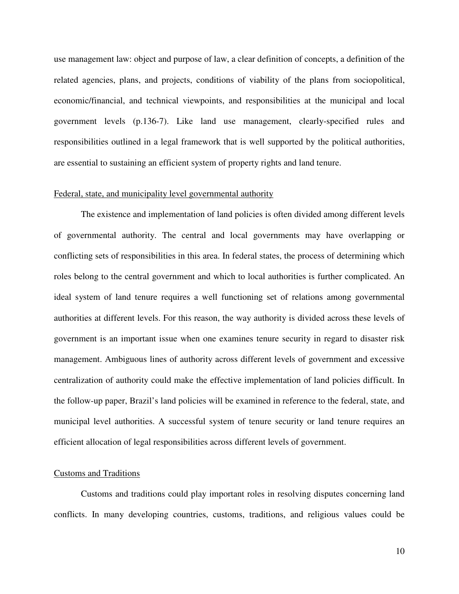use management law: object and purpose of law, a clear definition of concepts, a definition of the related agencies, plans, and projects, conditions of viability of the plans from sociopolitical, economic/financial, and technical viewpoints, and responsibilities at the municipal and local government levels (p.136-7). Like land use management, clearly-specified rules and responsibilities outlined in a legal framework that is well supported by the political authorities, are essential to sustaining an efficient system of property rights and land tenure.

# Federal, state, and municipality level governmental authority

 The existence and implementation of land policies is often divided among different levels of governmental authority. The central and local governments may have overlapping or conflicting sets of responsibilities in this area. In federal states, the process of determining which roles belong to the central government and which to local authorities is further complicated. An ideal system of land tenure requires a well functioning set of relations among governmental authorities at different levels. For this reason, the way authority is divided across these levels of government is an important issue when one examines tenure security in regard to disaster risk management. Ambiguous lines of authority across different levels of government and excessive centralization of authority could make the effective implementation of land policies difficult. In the follow-up paper, Brazil's land policies will be examined in reference to the federal, state, and municipal level authorities. A successful system of tenure security or land tenure requires an efficient allocation of legal responsibilities across different levels of government.

# Customs and Traditions

 Customs and traditions could play important roles in resolving disputes concerning land conflicts. In many developing countries, customs, traditions, and religious values could be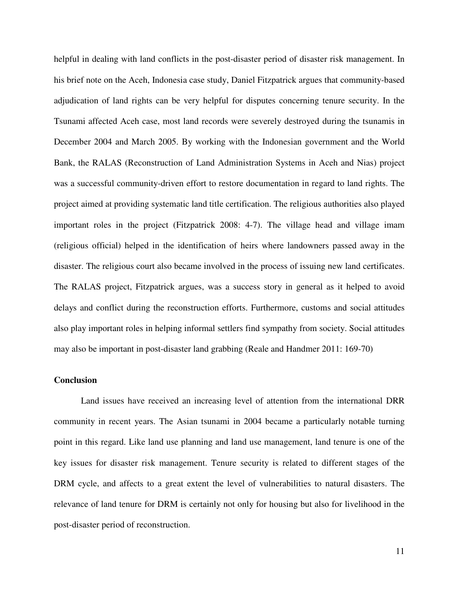helpful in dealing with land conflicts in the post-disaster period of disaster risk management. In his brief note on the Aceh, Indonesia case study, Daniel Fitzpatrick argues that community-based adjudication of land rights can be very helpful for disputes concerning tenure security. In the Tsunami affected Aceh case, most land records were severely destroyed during the tsunamis in December 2004 and March 2005. By working with the Indonesian government and the World Bank, the RALAS (Reconstruction of Land Administration Systems in Aceh and Nias) project was a successful community-driven effort to restore documentation in regard to land rights. The project aimed at providing systematic land title certification. The religious authorities also played important roles in the project (Fitzpatrick 2008: 4-7). The village head and village imam (religious official) helped in the identification of heirs where landowners passed away in the disaster. The religious court also became involved in the process of issuing new land certificates. The RALAS project, Fitzpatrick argues, was a success story in general as it helped to avoid delays and conflict during the reconstruction efforts. Furthermore, customs and social attitudes also play important roles in helping informal settlers find sympathy from society. Social attitudes may also be important in post-disaster land grabbing (Reale and Handmer 2011: 169-70)

# **Conclusion**

 Land issues have received an increasing level of attention from the international DRR community in recent years. The Asian tsunami in 2004 became a particularly notable turning point in this regard. Like land use planning and land use management, land tenure is one of the key issues for disaster risk management. Tenure security is related to different stages of the DRM cycle, and affects to a great extent the level of vulnerabilities to natural disasters. The relevance of land tenure for DRM is certainly not only for housing but also for livelihood in the post-disaster period of reconstruction.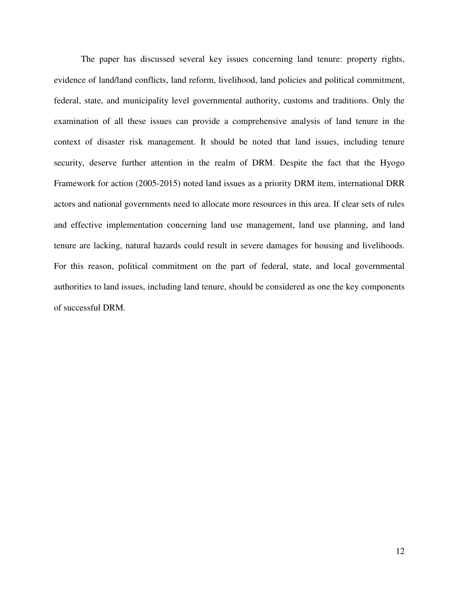The paper has discussed several key issues concerning land tenure: property rights, evidence of land/land conflicts, land reform, livelihood, land policies and political commitment, federal, state, and municipality level governmental authority, customs and traditions. Only the examination of all these issues can provide a comprehensive analysis of land tenure in the context of disaster risk management. It should be noted that land issues, including tenure security, deserve further attention in the realm of DRM. Despite the fact that the Hyogo Framework for action (2005-2015) noted land issues as a priority DRM item, international DRR actors and national governments need to allocate more resources in this area. If clear sets of rules and effective implementation concerning land use management, land use planning, and land tenure are lacking, natural hazards could result in severe damages for housing and livelihoods. For this reason, political commitment on the part of federal, state, and local governmental authorities to land issues, including land tenure, should be considered as one the key components of successful DRM.